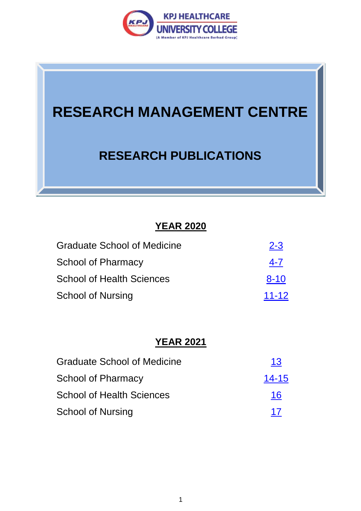

# **RESEARCH MANAGEMENT CENTRE**

## **RESEARCH PUBLICATIONS**

## **YEAR 2020**

| <b>Graduate School of Medicine</b> | $2 - 3$   |
|------------------------------------|-----------|
| <b>School of Pharmacy</b>          | $4 - 7$   |
| <b>School of Health Sciences</b>   | $8 - 10$  |
| <b>School of Nursing</b>           | $11 - 12$ |

## **YEAR 2021**

<span id="page-0-0"></span>

| <b>Graduate School of Medicine</b> | 13        |
|------------------------------------|-----------|
| <b>School of Pharmacy</b>          | $14 - 15$ |
| <b>School of Health Sciences</b>   | <u>16</u> |
| <b>School of Nursing</b>           | 17        |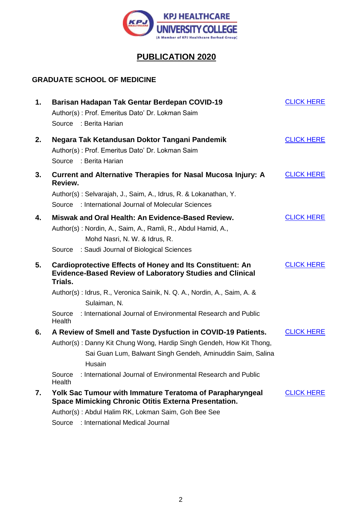

## **PUBLICATION 2020**

#### **GRADUATE SCHOOL OF MEDICINE**

| 1. | Barisan Hadapan Tak Gentar Berdepan COVID-19<br>Author(s): Prof. Emeritus Dato' Dr. Lokman Saim<br>Source : Berita Harian                          | <b>CLICK HERE</b> |
|----|----------------------------------------------------------------------------------------------------------------------------------------------------|-------------------|
| 2. | Negara Tak Ketandusan Doktor Tangani Pandemik<br>Author(s): Prof. Emeritus Dato' Dr. Lokman Saim<br>Source : Berita Harian                         | <b>CLICK HERE</b> |
| 3. | <b>Current and Alternative Therapies for Nasal Mucosa Injury: A</b><br>Review.                                                                     | <b>CLICK HERE</b> |
|    | Author(s): Selvarajah, J., Saim, A., Idrus, R. & Lokanathan, Y.<br>Source : International Journal of Molecular Sciences                            |                   |
| 4. | Miswak and Oral Health: An Evidence-Based Review.<br>Author(s): Nordin, A., Saim, A., Ramli, R., Abdul Hamid, A.,<br>Mohd Nasri, N. W. & Idrus, R. | <b>CLICK HERE</b> |
|    | Source : Saudi Journal of Biological Sciences                                                                                                      |                   |
|    |                                                                                                                                                    |                   |
| 5. | <b>Cardioprotective Effects of Honey and Its Constituent: An</b><br><b>Evidence-Based Review of Laboratory Studies and Clinical</b><br>Trials.     | <b>CLICK HERE</b> |
|    | Author(s): Idrus, R., Veronica Sainik, N. Q. A., Nordin, A., Saim, A. &<br>Sulaiman, N.                                                            |                   |
|    | : International Journal of Environmental Research and Public<br>Source<br><b>Health</b>                                                            |                   |
| 6. | A Review of Smell and Taste Dysfuction in COVID-19 Patients.                                                                                       | <b>CLICK HERE</b> |
|    | Author(s): Danny Kit Chung Wong, Hardip Singh Gendeh, How Kit Thong,<br>Sai Guan Lum, Balwant Singh Gendeh, Aminuddin Saim, Salina<br>Husain       |                   |
|    | : International Journal of Environmental Research and Public<br>Source<br>Health                                                                   |                   |
| 7. | <b>Yolk Sac Tumour with Immature Teratoma of Parapharyngeal</b>                                                                                    | <b>CLICK HERE</b> |
|    | <b>Space Mimicking Chronic Otitis Externa Presentation.</b><br>Author(s): Abdul Halim RK, Lokman Saim, Goh Bee See                                 |                   |

Source : International Medical Journal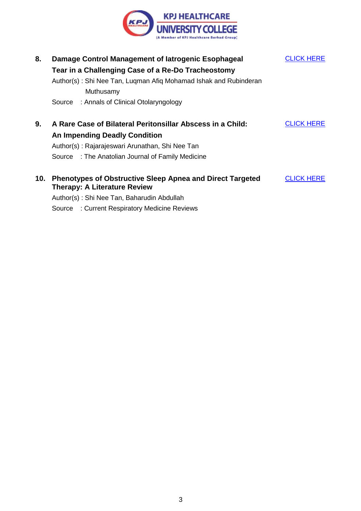

| 8.  | Damage Control Management of latrogenic Esophageal<br>Tear in a Challenging Case of a Re-Do Tracheostomy<br>Author(s): Shi Nee Tan, Luqman Afiq Mohamad Ishak and Rubinderan<br>Muthusamy<br>Source : Annals of Clinical Otolaryngology | <b>CLICK HERE</b> |
|-----|-----------------------------------------------------------------------------------------------------------------------------------------------------------------------------------------------------------------------------------------|-------------------|
| 9.  | A Rare Case of Bilateral Peritonsillar Abscess in a Child:<br><b>An Impending Deadly Condition</b><br>Author(s): Rajarajeswari Arunathan, Shi Nee Tan<br>Source : The Anatolian Journal of Family Medicine                              | <b>CLICK HERE</b> |
| 10. | <b>Phenotypes of Obstructive Sleep Apnea and Direct Targeted</b><br><b>Therapy: A Literature Review</b><br>Author(s): Shi Nee Tan, Baharudin Abdullah                                                                                   | <b>CLICK HERE</b> |

Source : Current Respiratory Medicine Reviews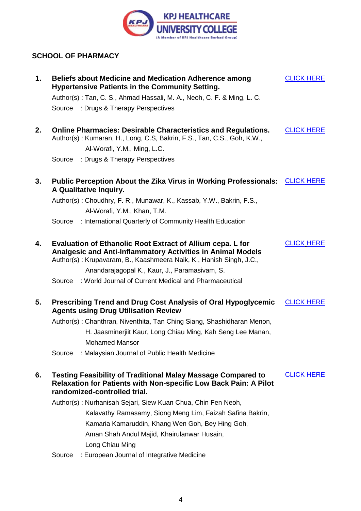

#### <span id="page-3-0"></span>**SCHOOL OF PHARMACY**

| 1. | <b>Beliefs about Medicine and Medication Adherence among</b><br><b>Hypertensive Patients in the Community Setting.</b>                                                                                                                                   | <b>CLICK HERE</b> |
|----|----------------------------------------------------------------------------------------------------------------------------------------------------------------------------------------------------------------------------------------------------------|-------------------|
|    | Author(s): Tan, C. S., Ahmad Hassali, M. A., Neoh, C. F. & Ming, L. C.                                                                                                                                                                                   |                   |
|    | Source : Drugs & Therapy Perspectives                                                                                                                                                                                                                    |                   |
| 2. | <b>Online Pharmacies: Desirable Characteristics and Regulations.</b><br>Author(s): Kumaran, H., Long, C.S, Bakrin, F.S., Tan, C.S., Goh, K.W.,                                                                                                           | <b>CLICK HERE</b> |
|    | Al-Worafi, Y.M., Ming, L.C.                                                                                                                                                                                                                              |                   |
|    | : Drugs & Therapy Perspectives<br>Source                                                                                                                                                                                                                 |                   |
| 3. | Public Perception About the Zika Virus in Working Professionals:<br>A Qualitative Inquiry.                                                                                                                                                               | <b>CLICK HERE</b> |
|    | Author(s): Choudhry, F. R., Munawar, K., Kassab, Y.W., Bakrin, F.S.,                                                                                                                                                                                     |                   |
|    | Al-Worafi, Y.M., Khan, T.M.                                                                                                                                                                                                                              |                   |
|    | : International Quarterly of Community Health Education<br>Source                                                                                                                                                                                        |                   |
| 4. | Evaluation of Ethanolic Root Extract of Allium cepa. L for<br><b>Analgesic and Anti-Inflammatory Activities in Animal Models</b><br>Author(s): Krupavaram, B., Kaashmeera Naik, K., Hanish Singh, J.C.,<br>Anandarajagopal K., Kaur, J., Paramasivam, S. | <b>CLICK HERE</b> |
|    | : World Journal of Current Medical and Pharmaceutical<br>Source                                                                                                                                                                                          |                   |
| 5. | <b>Prescribing Trend and Drug Cost Analysis of Oral Hypoglycemic</b><br><b>Agents using Drug Utilisation Review</b><br>Author(s): Chanthran, Niventhita, Tan Ching Siang, Shashidharan Menon,                                                            | <b>CLICK HERE</b> |
|    | H. Jaasminerjiit Kaur, Long Chiau Ming, Kah Seng Lee Manan,                                                                                                                                                                                              |                   |
|    | <b>Mohamed Mansor</b>                                                                                                                                                                                                                                    |                   |
|    | : Malaysian Journal of Public Health Medicine<br>Source                                                                                                                                                                                                  |                   |
| 6. | <b>Testing Feasibility of Traditional Malay Massage Compared to</b><br><b>Relaxation for Patients with Non-specific Low Back Pain: A Pilot</b><br>randomized-controlled trial.                                                                           | <b>CLICK HERE</b> |
|    | Author(s): Nurhanisah Sejari, Siew Kuan Chua, Chin Fen Neoh,                                                                                                                                                                                             |                   |
|    | Kalavathy Ramasamy, Siong Meng Lim, Faizah Safina Bakrin,                                                                                                                                                                                                |                   |
|    | Kamaria Kamaruddin, Khang Wen Goh, Bey Hing Goh,                                                                                                                                                                                                         |                   |
|    | Aman Shah Andul Majid, Khairulanwar Husain,                                                                                                                                                                                                              |                   |
|    | Long Chiau Ming                                                                                                                                                                                                                                          |                   |
|    | : European Journal of Integrative Medicine<br>Source                                                                                                                                                                                                     |                   |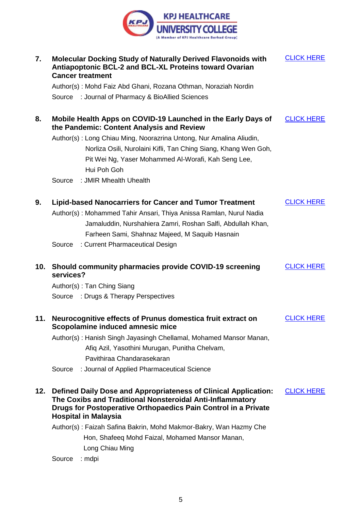

| 7.  | <b>Molecular Docking Study of Naturally Derived Flavonoids with</b><br><b>Antiapoptonic BCL-2 and BCL-XL Proteins toward Ovarian</b><br><b>Cancer treatment</b>                                                                                       | <b>CLICK HERE</b> |
|-----|-------------------------------------------------------------------------------------------------------------------------------------------------------------------------------------------------------------------------------------------------------|-------------------|
|     | Author(s): Mohd Faiz Abd Ghani, Rozana Othman, Noraziah Nordin                                                                                                                                                                                        |                   |
|     | Source : Journal of Pharmacy & BioAllied Sciences                                                                                                                                                                                                     |                   |
| 8.  | Mobile Health Apps on COVID-19 Launched in the Early Days of<br>the Pandemic: Content Analysis and Review                                                                                                                                             | <b>CLICK HERE</b> |
|     | Author(s): Long Chiau Ming, Noorazrina Untong, Nur Amalina Aliudin,<br>Norliza Osili, Nurolaini Kifli, Tan Ching Siang, Khang Wen Goh,<br>Pit Wei Ng, Yaser Mohammed Al-Worafi, Kah Seng Lee,<br>Hui Poh Goh                                          |                   |
|     | : JMIR Mhealth Uhealth<br>Source                                                                                                                                                                                                                      |                   |
| 9.  | <b>Lipid-based Nanocarriers for Cancer and Tumor Treatment</b><br>Author(s): Mohammed Tahir Ansari, Thiya Anissa Ramlan, Nurul Nadia<br>Jamaluddin, Nurshahiera Zamri, Roshan Salfi, Abdullah Khan,<br>Farheen Sami, Shahnaz Majeed, M Saquib Hasnain | <b>CLICK HERE</b> |
|     | : Current Pharmaceutical Design<br>Source                                                                                                                                                                                                             |                   |
| 10. | Should community pharmacies provide COVID-19 screening<br>services?                                                                                                                                                                                   | <b>CLICK HERE</b> |
|     | Author(s): Tan Ching Siang                                                                                                                                                                                                                            |                   |
|     | Source : Drugs & Therapy Perspectives                                                                                                                                                                                                                 |                   |
| 11. |                                                                                                                                                                                                                                                       |                   |
|     | Neurocognitive effects of Prunus domestica fruit extract on<br>Scopolamine induced amnesic mice                                                                                                                                                       | <b>CLICK HERE</b> |
|     | Author(s): Hanish Singh Jayasingh Chellamal, Mohamed Mansor Manan,<br>Afiq Azil, Yasothini Murugan, Punitha Chelvam,<br>Pavithiraa Chandarasekaran                                                                                                    |                   |
|     | : Journal of Applied Pharmaceutical Science<br>Source                                                                                                                                                                                                 |                   |
| 12. | Defined Daily Dose and Appropriateness of Clinical Application:<br>The Coxibs and Traditional Nonsteroidal Anti-Inflammatory<br>Drugs for Postoperative Orthopaedics Pain Control in a Private<br><b>Hospital in Malaysia</b>                         | <b>CLICK HERE</b> |
|     | Author(s): Faizah Safina Bakrin, Mohd Makmor-Bakry, Wan Hazmy Che                                                                                                                                                                                     |                   |
|     | Hon, Shafeeq Mohd Faizal, Mohamed Mansor Manan,                                                                                                                                                                                                       |                   |
|     | Long Chiau Ming                                                                                                                                                                                                                                       |                   |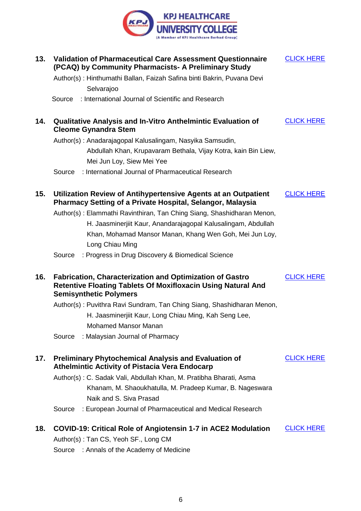

| 13. | <b>Validation of Pharmaceutical Care Assessment Questionnaire</b><br>(PCAQ) by Community Pharmacists- A Preliminary Study                                        | <b>CLICK HERE</b> |
|-----|------------------------------------------------------------------------------------------------------------------------------------------------------------------|-------------------|
|     | Author(s): Hinthumathi Ballan, Faizah Safina binti Bakrin, Puvana Devi                                                                                           |                   |
|     | Selvarajoo                                                                                                                                                       |                   |
|     | : International Journal of Scientific and Research<br>Source                                                                                                     |                   |
| 14. | <b>Qualitative Analysis and In-Vitro Anthelmintic Evaluation of</b><br><b>Cleome Gynandra Stem</b>                                                               | <b>CLICK HERE</b> |
|     | Author(s): Anadarajagopal Kalusalingam, Nasyika Samsudin,                                                                                                        |                   |
|     | Abdullah Khan, Krupavaram Bethala, Vijay Kotra, kain Bin Liew,                                                                                                   |                   |
|     | Mei Jun Loy, Siew Mei Yee                                                                                                                                        |                   |
|     | : International Journal of Pharmaceutical Research<br>Source                                                                                                     |                   |
| 15. | Utilization Review of Antihypertensive Agents at an Outpatient<br>Pharmacy Setting of a Private Hospital, Selangor, Malaysia                                     | <b>CLICK HERE</b> |
|     | Author(s): Elammathi Ravinthiran, Tan Ching Siang, Shashidharan Menon,                                                                                           |                   |
|     | H. Jaasminerjiit Kaur, Anandarajagopal Kalusalingam, Abdullah                                                                                                    |                   |
|     | Khan, Mohamad Mansor Manan, Khang Wen Goh, Mei Jun Loy,                                                                                                          |                   |
|     | Long Chiau Ming                                                                                                                                                  |                   |
|     | : Progress in Drug Discovery & Biomedical Science<br>Source                                                                                                      |                   |
| 16. | <b>Fabrication, Characterization and Optimization of Gastro</b><br>Retentive Floating Tablets Of Moxifloxacin Using Natural And<br><b>Semisynthetic Polymers</b> | <b>CLICK HERE</b> |
|     | Author(s): Puvithra Ravi Sundram, Tan Ching Siang, Shashidharan Menon,                                                                                           |                   |
|     | H. Jaasminerjiit Kaur, Long Chiau Ming, Kah Seng Lee,                                                                                                            |                   |
|     | Mohamed Mansor Manan                                                                                                                                             |                   |
|     | : Malaysian Journal of Pharmacy<br>Source                                                                                                                        |                   |
| 17. | <b>Preliminary Phytochemical Analysis and Evaluation of</b><br><b>Athelmintic Activity of Pistacia Vera Endocarp</b>                                             | <b>CLICK HERE</b> |
|     | Author(s): C. Sadak Vali, Abdullah Khan, M. Pratibha Bharati, Asma                                                                                               |                   |
|     | Khanam, M. Shaoukhatulla, M. Pradeep Kumar, B. Nageswara                                                                                                         |                   |
|     | Naik and S. Siva Prasad                                                                                                                                          |                   |
|     | : European Journal of Pharmaceutical and Medical Research<br>Source                                                                                              |                   |
| 18. | <b>COVID-19: Critical Role of Angiotensin 1-7 in ACE2 Modulation</b>                                                                                             | <b>CLICK HERE</b> |
|     | Author(s): Tan CS, Yeoh SF., Long CM                                                                                                                             |                   |
|     | Source : Annals of the Academy of Medicine                                                                                                                       |                   |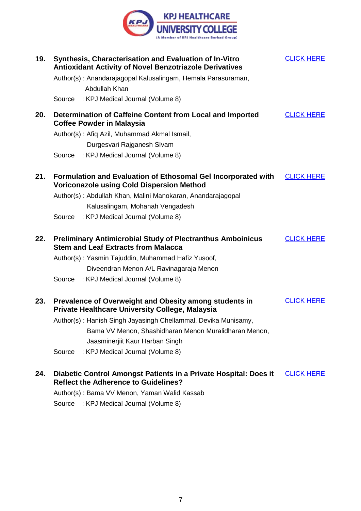

| 19. | Synthesis, Characterisation and Evaluation of In-Vitro<br><b>Antioxidant Activity of Novel Benzotriazole Derivatives</b> | <b>CLICK HERE</b> |
|-----|--------------------------------------------------------------------------------------------------------------------------|-------------------|
|     | Author(s): Anandarajagopal Kalusalingam, Hemala Parasuraman,<br>Abdullah Khan                                            |                   |
|     | Source<br>: KPJ Medical Journal (Volume 8)                                                                               |                   |
| 20. | Determination of Caffeine Content from Local and Imported<br><b>Coffee Powder in Malaysia</b>                            | <b>CLICK HERE</b> |
|     | Author(s): Afiq Azil, Muhammad Akmal Ismail,                                                                             |                   |
|     | Durgesvari Rajganesh SIvam                                                                                               |                   |
|     | Source : KPJ Medical Journal (Volume 8)                                                                                  |                   |
| 21. | Formulation and Evaluation of Ethosomal Gel Incorporated with<br><b>Voriconazole using Cold Dispersion Method</b>        | <b>CLICK HERE</b> |
|     | Author(s): Abdullah Khan, Malini Manokaran, Anandarajagopal<br>Kalusalingam, Mohanah Vengadesh                           |                   |
|     | Source : KPJ Medical Journal (Volume 8)                                                                                  |                   |
| 22. | <b>Preliminary Antimicrobial Study of Plectranthus Amboinicus</b><br><b>Stem and Leaf Extracts from Malacca</b>          | <b>CLICK HERE</b> |
|     | Author(s): Yasmin Tajuddin, Muhammad Hafiz Yusoof,                                                                       |                   |
|     | Diveendran Menon A/L Ravinagaraja Menon                                                                                  |                   |
|     | Source : KPJ Medical Journal (Volume 8)                                                                                  |                   |
| 23. | Prevalence of Overweight and Obesity among students in<br><b>Private Healthcare University College, Malaysia</b>         | <b>CLICK HERE</b> |
|     | Author(s): Hanish Singh Jayasingh Chellammal, Devika Munisamy,                                                           |                   |
|     | Bama VV Menon, Shashidharan Menon Muralidharan Menon,                                                                    |                   |
|     | Jaasminerjiit Kaur Harban Singh                                                                                          |                   |
|     | : KPJ Medical Journal (Volume 8)<br>Source                                                                               |                   |
| 24. | Diabetic Control Amongst Patients in a Private Hospital: Does it                                                         | <b>CLICK HERE</b> |

**Reflect the Adherence to Guidelines?**

Author(s) : Bama VV Menon, Yaman Walid Kassab

Source : KPJ Medical Journal (Volume 8)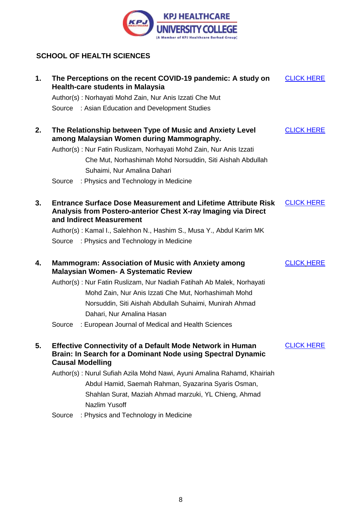

#### <span id="page-7-0"></span>**SCHOOL OF HEALTH SCIENCES**

| 1. |                         | The Perceptions on the recent COVID-19 pandemic: A study on<br><b>Health-care students in Malaysia</b>                                                            | <b>CLICK HERE</b> |
|----|-------------------------|-------------------------------------------------------------------------------------------------------------------------------------------------------------------|-------------------|
|    |                         | Author(s): Norhayati Mohd Zain, Nur Anis Izzati Che Mut                                                                                                           |                   |
|    |                         | Source : Asian Education and Development Studies                                                                                                                  |                   |
| 2. |                         | The Relationship between Type of Music and Anxiety Level<br>among Malaysian Women during Mammography.                                                             | <b>CLICK HERE</b> |
|    |                         | Author(s): Nur Fatin Ruslizam, Norhayati Mohd Zain, Nur Anis Izzati                                                                                               |                   |
|    |                         | Che Mut, Norhashimah Mohd Norsuddin, Siti Aishah Abdullah                                                                                                         |                   |
|    |                         | Suhaimi, Nur Amalina Dahari                                                                                                                                       |                   |
|    | Source                  | : Physics and Technology in Medicine                                                                                                                              |                   |
| 3. |                         | <b>Entrance Surface Dose Measurement and Lifetime Attribute Risk</b><br>Analysis from Postero-anterior Chest X-ray Imaging via Direct<br>and Indirect Measurement | <b>CLICK HERE</b> |
|    |                         | Author(s): Kamal I., Salehhon N., Hashim S., Musa Y., Abdul Karim MK                                                                                              |                   |
|    |                         | Source : Physics and Technology in Medicine                                                                                                                       |                   |
| 4. |                         | <b>Mammogram: Association of Music with Anxiety among</b><br><b>Malaysian Women- A Systematic Review</b>                                                          | <b>CLICK HERE</b> |
|    |                         | Author(s): Nur Fatin Ruslizam, Nur Nadiah Fatihah Ab Malek, Norhayati                                                                                             |                   |
|    |                         | Mohd Zain, Nur Anis Izzati Che Mut, Norhashimah Mohd                                                                                                              |                   |
|    |                         | Norsuddin, Siti Aishah Abdullah Suhaimi, Munirah Ahmad                                                                                                            |                   |
|    |                         | Dahari, Nur Amalina Hasan                                                                                                                                         |                   |
|    | Source                  | : European Journal of Medical and Health Sciences                                                                                                                 |                   |
| 5. | <b>Causal Modelling</b> | <b>Effective Connectivity of a Default Mode Network in Human</b><br>Brain: In Search for a Dominant Node using Spectral Dynamic                                   | <b>CLICK HERE</b> |
|    |                         | Author(s): Nurul Sufiah Azila Mohd Nawi, Ayuni Amalina Rahamd, Khairiah                                                                                           |                   |
|    |                         | Abdul Hamid, Saemah Rahman, Syazarina Syaris Osman,                                                                                                               |                   |
|    |                         | Shahlan Surat, Maziah Ahmad marzuki, YL Chieng, Ahmad                                                                                                             |                   |
|    |                         | Nazlim Yusoff                                                                                                                                                     |                   |
|    |                         | Source : Physics and Technology in Medicine                                                                                                                       |                   |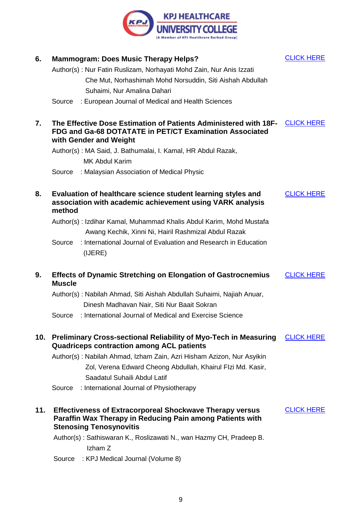

| 6.  |               | <b>Mammogram: Does Music Therapy Helps?</b>                                                                                                                    | <b>CLICK HERE</b> |
|-----|---------------|----------------------------------------------------------------------------------------------------------------------------------------------------------------|-------------------|
|     |               | Author(s): Nur Fatin Ruslizam, Norhayati Mohd Zain, Nur Anis Izzati                                                                                            |                   |
|     |               | Che Mut, Norhashimah Mohd Norsuddin, Siti Aishah Abdullah                                                                                                      |                   |
|     |               | Suhaimi, Nur Amalina Dahari                                                                                                                                    |                   |
|     |               | Source : European Journal of Medical and Health Sciences                                                                                                       |                   |
| 7.  |               | The Effective Dose Estimation of Patients Administered with 18F-<br>FDG and Ga-68 DOTATATE in PET/CT Examination Associated<br>with Gender and Weight          | <b>CLICK HERE</b> |
|     |               | Author(s): MA Said, J. Bathumalai, I. Kamal, HR Abdul Razak,                                                                                                   |                   |
|     |               | <b>MK Abdul Karim</b>                                                                                                                                          |                   |
|     | Source        | : Malaysian Association of Medical Physic                                                                                                                      |                   |
| 8.  | method        | Evaluation of healthcare science student learning styles and<br>association with academic achievement using VARK analysis                                      | <b>CLICK HERE</b> |
|     |               | Author(s): Izdihar Kamal, Muhammad Khalis Abdul Karim, Mohd Mustafa                                                                                            |                   |
|     |               | Awang Kechik, Xinni Ni, Hairil Rashmizal Abdul Razak                                                                                                           |                   |
|     | Source        | : International Journal of Evaluation and Research in Education<br>(IJERE)                                                                                     |                   |
| 9.  | <b>Muscle</b> | <b>Effects of Dynamic Stretching on Elongation of Gastrocnemius</b>                                                                                            | <b>CLICK HERE</b> |
|     |               | Author(s): Nabilah Ahmad, Siti Aishah Abdullah Suhaimi, Najiah Anuar,                                                                                          |                   |
|     |               | Dinesh Madhavan Nair, Siti Nur Baait Sokran                                                                                                                    |                   |
|     |               | Source : International Journal of Medical and Exercise Science                                                                                                 |                   |
| 10. |               | <b>Preliminary Cross-sectional Reliability of Myo-Tech in Measuring</b><br><b>Quadriceps contraction among ACL patients</b>                                    | <b>CLICK HERE</b> |
|     |               | Author(s): Nabilah Ahmad, Izham Zain, Azri Hisham Azizon, Nur Asyikin                                                                                          |                   |
|     |               | Zol, Verena Edward Cheong Abdullah, Khairul Flzi Md. Kasir,                                                                                                    |                   |
|     |               | Saadatul Suhaili Abdul Latif                                                                                                                                   |                   |
|     | Source        | : International Journal of Physiotherapy                                                                                                                       |                   |
| 11. |               | <b>Effectiveness of Extracorporeal Shockwave Therapy versus</b><br>Paraffin Wax Therapy in Reducing Pain among Patients with<br><b>Stenosing Tenosynovitis</b> | <b>CLICK HERE</b> |
|     |               | Author(s): Sathiswaran K., Roslizawati N., wan Hazmy CH, Pradeep B.                                                                                            |                   |
|     |               | Izham Z                                                                                                                                                        |                   |
|     |               | Source : KPJ Medical Journal (Volume 8)                                                                                                                        |                   |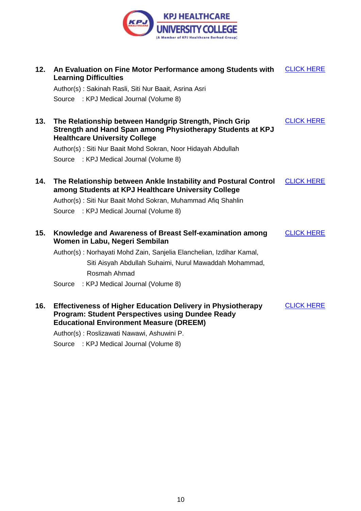

| 12. | An Evaluation on Fine Motor Performance among Students with<br><b>Learning Difficulties</b>                                                                                     | <b>CLICK HERE</b> |
|-----|---------------------------------------------------------------------------------------------------------------------------------------------------------------------------------|-------------------|
|     | Author(s): Sakinah Rasli, Siti Nur Baait, Asrina Asri                                                                                                                           |                   |
|     | Source : KPJ Medical Journal (Volume 8)                                                                                                                                         |                   |
| 13. | The Relationship between Handgrip Strength, Pinch Grip<br>Strength and Hand Span among Physiotherapy Students at KPJ<br><b>Healthcare University College</b>                    | <b>CLICK HERE</b> |
|     | Author(s): Siti Nur Baait Mohd Sokran, Noor Hidayah Abdullah                                                                                                                    |                   |
|     | Source : KPJ Medical Journal (Volume 8)                                                                                                                                         |                   |
| 14. | The Relationship between Ankle Instability and Postural Control<br>among Students at KPJ Healthcare University College                                                          | <b>CLICK HERE</b> |
|     | Author(s): Siti Nur Baait Mohd Sokran, Muhammad Afiq Shahlin                                                                                                                    |                   |
|     | Source : KPJ Medical Journal (Volume 8)                                                                                                                                         |                   |
| 15. | Knowledge and Awareness of Breast Self-examination among<br>Women in Labu, Negeri Sembilan                                                                                      | <b>CLICK HERE</b> |
|     | Author(s): Norhayati Mohd Zain, Sanjelia Elanchelian, Izdihar Kamal,                                                                                                            |                   |
|     | Siti Aisyah Abdullah Suhaimi, Nurul Mawaddah Mohammad,                                                                                                                          |                   |
|     | Rosmah Ahmad                                                                                                                                                                    |                   |
|     | : KPJ Medical Journal (Volume 8)<br>Source                                                                                                                                      |                   |
| 16. | <b>Effectiveness of Higher Education Delivery in Physiotherapy</b><br><b>Program: Student Perspectives using Dundee Ready</b><br><b>Educational Environment Measure (DREEM)</b> | <b>CLICK HERE</b> |
|     | Author(s): Roslizawati Nawawi, Ashuwini P.                                                                                                                                      |                   |

Source : KPJ Medical Journal (Volume 8)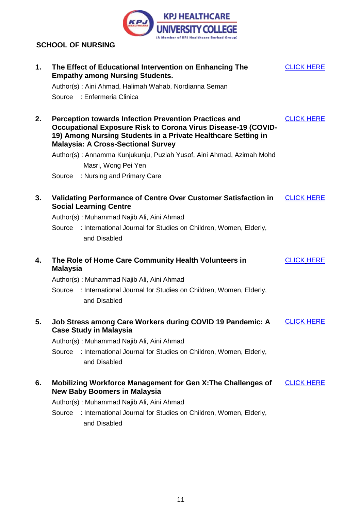

#### <span id="page-10-0"></span>**SCHOOL OF NURSING**

| 1. | The Effect of Educational Intervention on Enhancing The<br><b>Empathy among Nursing Students.</b>                                                                                                                                           | <b>CLICK HERE</b> |
|----|---------------------------------------------------------------------------------------------------------------------------------------------------------------------------------------------------------------------------------------------|-------------------|
|    | Author(s): Aini Ahmad, Halimah Wahab, Nordianna Seman                                                                                                                                                                                       |                   |
|    | Source : Enfermeria Clinica                                                                                                                                                                                                                 |                   |
| 2. | <b>Perception towards Infection Prevention Practices and</b><br>Occupational Exposure Risk to Corona Virus Disease-19 (COVID-<br>19) Among Nursing Students in a Private Healthcare Setting in<br><b>Malaysia: A Cross-Sectional Survey</b> | <b>CLICK HERE</b> |
|    | Author(s): Annamma Kunjukunju, Puziah Yusof, Aini Ahmad, Azimah Mohd                                                                                                                                                                        |                   |
|    | Masri, Wong Pei Yen                                                                                                                                                                                                                         |                   |
|    | : Nursing and Primary Care<br>Source                                                                                                                                                                                                        |                   |
| 3. | Validating Performance of Centre Over Customer Satisfaction in<br><b>Social Learning Centre</b>                                                                                                                                             | <b>CLICK HERE</b> |
|    | Author(s): Muhammad Najib Ali, Aini Ahmad                                                                                                                                                                                                   |                   |
|    | Source : International Journal for Studies on Children, Women, Elderly,                                                                                                                                                                     |                   |
|    | and Disabled                                                                                                                                                                                                                                |                   |
| 4. | The Role of Home Care Community Health Volunteers in<br><b>Malaysia</b>                                                                                                                                                                     | <b>CLICK HERE</b> |
|    | Author(s): Muhammad Najib Ali, Aini Ahmad                                                                                                                                                                                                   |                   |
|    | : International Journal for Studies on Children, Women, Elderly,<br>Source<br>and Disabled                                                                                                                                                  |                   |
| 5. | Job Stress among Care Workers during COVID 19 Pandemic: A<br><b>Case Study in Malaysia</b>                                                                                                                                                  | <b>CLICK HERE</b> |
|    | Author(s): Muhammad Najib Ali, Aini Ahmad                                                                                                                                                                                                   |                   |
|    | : International Journal for Studies on Children, Women, Elderly,<br>Source<br>and Disabled                                                                                                                                                  |                   |
| 6. | Mobilizing Workforce Management for Gen X: The Challenges of<br><b>New Baby Boomers in Malaysia</b>                                                                                                                                         | <b>CLICK HERE</b> |
|    | Author(s): Muhammad Najib Ali, Aini Ahmad                                                                                                                                                                                                   |                   |
|    | : International Journal for Studies on Children, Women, Elderly,<br>Source<br>and Disabled                                                                                                                                                  |                   |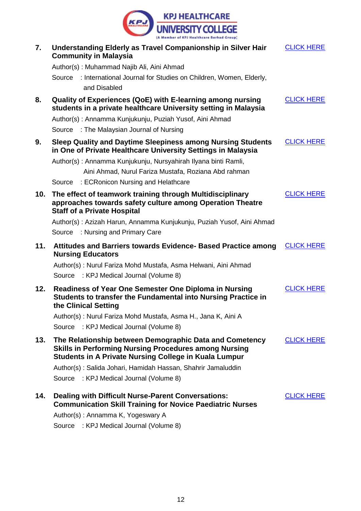

| 7.  | Understanding Elderly as Travel Companionship in Silver Hair<br><b>Community in Malaysia</b>                                                                                            | <b>CLICK HERE</b> |
|-----|-----------------------------------------------------------------------------------------------------------------------------------------------------------------------------------------|-------------------|
|     | Author(s): Muhammad Najib Ali, Aini Ahmad                                                                                                                                               |                   |
|     | Source : International Journal for Studies on Children, Women, Elderly,<br>and Disabled                                                                                                 |                   |
| 8.  | Quality of Experiences (QoE) with E-learning among nursing<br>students in a private healthcare University setting in Malaysia                                                           | <b>CLICK HERE</b> |
|     | Author(s): Annamma Kunjukunju, Puziah Yusof, Aini Ahmad                                                                                                                                 |                   |
|     | Source : The Malaysian Journal of Nursing                                                                                                                                               |                   |
| 9.  | Sleep Quality and Daytime Sleepiness among Nursing Students<br>in One of Private Healthcare University Settings in Malaysia                                                             | <b>CLICK HERE</b> |
|     | Author(s): Annamma Kunjukunju, Nursyahirah Ilyana binti Ramli,                                                                                                                          |                   |
|     | Aini Ahmad, Nurul Fariza Mustafa, Roziana Abd rahman                                                                                                                                    |                   |
|     | Source : ECRonicon Nursing and Helathcare                                                                                                                                               |                   |
| 10. | The effect of teamwork training through Multidisciplinary<br>approaches towards safety culture among Operation Theatre<br><b>Staff of a Private Hospital</b>                            | <b>CLICK HERE</b> |
|     | Author(s): Azizah Harun, Annamma Kunjukunju, Puziah Yusof, Aini Ahmad                                                                                                                   |                   |
|     | Source : Nursing and Primary Care                                                                                                                                                       |                   |
| 11. | <b>Attitudes and Barriers towards Evidence- Based Practice among</b><br><b>Nursing Educators</b>                                                                                        | <b>CLICK HERE</b> |
|     | Author(s): Nurul Fariza Mohd Mustafa, Asma Helwani, Aini Ahmad                                                                                                                          |                   |
|     | Source : KPJ Medical Journal (Volume 8)                                                                                                                                                 |                   |
| 12. | <b>Readiness of Year One Semester One Diploma in Nursing</b><br>Students to transfer the Fundamental into Nursing Practice in<br>the Clinical Setting                                   | <b>CLICK HERE</b> |
|     | Author(s): Nurul Fariza Mohd Mustafa, Asma H., Jana K, Aini A                                                                                                                           |                   |
|     | Source : KPJ Medical Journal (Volume 8)                                                                                                                                                 |                   |
| 13. | The Relationship between Demographic Data and Cometency<br><b>Skills in Performing Nursing Procedures among Nursing</b><br><b>Students in A Private Nursing College in Kuala Lumpur</b> | <b>CLICK HERE</b> |
|     | Author(s): Salida Johari, Hamidah Hassan, Shahrir Jamaluddin                                                                                                                            |                   |
|     | Source : KPJ Medical Journal (Volume 8)                                                                                                                                                 |                   |
| 14. | <b>Dealing with Difficult Nurse-Parent Conversations:</b><br><b>Communication Skill Training for Novice Paediatric Nurses</b>                                                           | <b>CLICK HERE</b> |
|     | Author(s): Annamma K, Yogeswary A                                                                                                                                                       |                   |
|     |                                                                                                                                                                                         |                   |

Source : KPJ Medical Journal (Volume 8)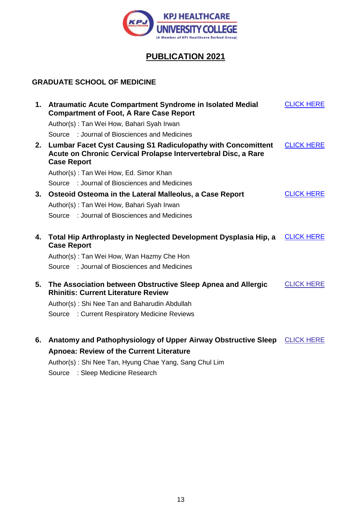

## **PUBLICATION 2021**

#### <span id="page-12-0"></span>**GRADUATE SCHOOL OF MEDICINE**

|    | 1. Atraumatic Acute Compartment Syndrome in Isolated Medial<br><b>Compartment of Foot, A Rare Case Report</b>                                               | <b>CLICK HERE</b> |
|----|-------------------------------------------------------------------------------------------------------------------------------------------------------------|-------------------|
|    | Author(s): Tan Wei How, Bahari Syah Irwan                                                                                                                   |                   |
|    | Source : Journal of Biosciences and Medicines                                                                                                               |                   |
| 2. | <b>Lumbar Facet Cyst Causing S1 Radiculopathy with Concomittent</b><br>Acute on Chronic Cervical Prolapse Intervertebral Disc, a Rare<br><b>Case Report</b> | <b>CLICK HERE</b> |
|    | Author(s): Tan Wei How, Ed. Simor Khan                                                                                                                      |                   |
|    | Source : Journal of Biosciences and Medicines                                                                                                               |                   |
| 3. | Osteoid Osteoma in the Lateral Malleolus, a Case Report                                                                                                     | <b>CLICK HERE</b> |
|    | Author(s): Tan Wei How, Bahari Syah Irwan                                                                                                                   |                   |
|    | Source : Journal of Biosciences and Medicines                                                                                                               |                   |
| 4. | Total Hip Arthroplasty in Neglected Development Dysplasia Hip, a<br><b>Case Report</b>                                                                      | <b>CLICK HERE</b> |
|    | Author(s): Tan Wei How, Wan Hazmy Che Hon                                                                                                                   |                   |
|    | Source : Journal of Biosciences and Medicines                                                                                                               |                   |
| 5. | The Association between Obstructive Sleep Apnea and Allergic<br><b>Rhinitis: Current Literature Review</b>                                                  | <b>CLICK HERE</b> |
|    | Author(s): Shi Nee Tan and Baharudin Abdullah                                                                                                               |                   |
|    | Source : Current Respiratory Medicine Reviews                                                                                                               |                   |
| 6. | Anatomy and Pathophysiology of Upper Airway Obstructive Sleep                                                                                               | <b>CLICK HERE</b> |
|    | <b>Apnoea: Review of the Current Literature</b>                                                                                                             |                   |
|    | Author(s): Shi Nee Tan, Hyung Chae Yang, Sang Chul Lim                                                                                                      |                   |
|    |                                                                                                                                                             |                   |

Source : Sleep Medicine Research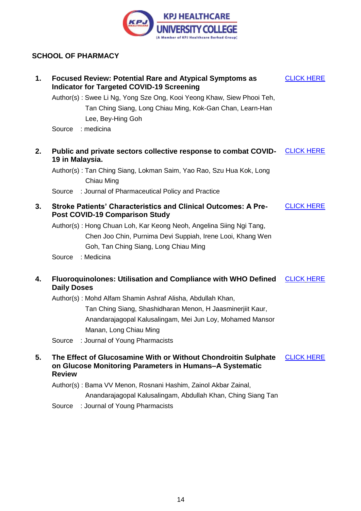

#### <span id="page-13-0"></span>**SCHOOL OF PHARMACY**

| 1. | <b>Focused Review: Potential Rare and Atypical Symptoms as</b><br><b>Indicator for Targeted COVID-19 Screening</b>                         | <b>CLICK HERE</b> |
|----|--------------------------------------------------------------------------------------------------------------------------------------------|-------------------|
|    | Author(s): Swee Li Ng, Yong Sze Ong, Kooi Yeong Khaw, Siew Phooi Teh,                                                                      |                   |
|    | Tan Ching Siang, Long Chiau Ming, Kok-Gan Chan, Learn-Han                                                                                  |                   |
|    | Lee, Bey-Hing Goh                                                                                                                          |                   |
|    | : medicina<br>Source                                                                                                                       |                   |
| 2. | Public and private sectors collective response to combat COVID-<br>19 in Malaysia.                                                         | <b>CLICK HERE</b> |
|    | Author(s): Tan Ching Siang, Lokman Saim, Yao Rao, Szu Hua Kok, Long<br>Chiau Ming                                                          |                   |
|    | : Journal of Pharmaceutical Policy and Practice<br>Source                                                                                  |                   |
| 3. | <b>Stroke Patients' Characteristics and Clinical Outcomes: A Pre-</b><br><b>Post COVID-19 Comparison Study</b>                             | <b>CLICK HERE</b> |
|    | Author(s): Hong Chuan Loh, Kar Keong Neoh, Angelina Siing Ngi Tang,                                                                        |                   |
|    | Chen Joo Chin, Purnima Devi Suppiah, Irene Looi, Khang Wen                                                                                 |                   |
|    | Goh, Tan Ching Siang, Long Chiau Ming                                                                                                      |                   |
|    | : Medicina<br>Source                                                                                                                       |                   |
| 4. | <b>Fluoroquinolones: Utilisation and Compliance with WHO Defined</b><br><b>Daily Doses</b>                                                 | <b>CLICK HERE</b> |
|    | Author(s): Mohd Alfam Shamin Ashraf Alisha, Abdullah Khan,                                                                                 |                   |
|    | Tan Ching Siang, Shashidharan Menon, H Jaasminerjiit Kaur,                                                                                 |                   |
|    | Anandarajagopal Kalusalingam, Mei Jun Loy, Mohamed Mansor                                                                                  |                   |
|    | Manan, Long Chiau Ming                                                                                                                     |                   |
|    | : Journal of Young Pharmacists<br>Source                                                                                                   |                   |
| 5. | The Effect of Glucosamine With or Without Chondroitin Sulphate<br>on Glucose Monitoring Parameters in Humans-A Systematic<br><b>Review</b> | <b>CLICK HERE</b> |
|    | Author(s): Bama VV Menon, Rosnani Hashim, Zainol Akbar Zainal,                                                                             |                   |
|    | Anandarajagopal Kalusalingam, Abdullah Khan, Ching Siang Tan                                                                               |                   |
|    | : Journal of Young Pharmacists<br>Source                                                                                                   |                   |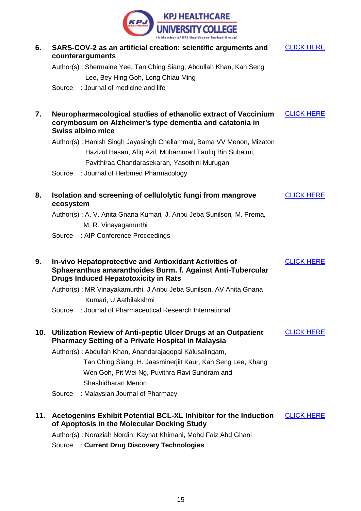

| 6.  | SARS-COV-2 as an artificial creation: scientific arguments and<br>counterarguments                                                   |                                                                                                                                                                             | <b>CLICK HERE</b> |  |
|-----|--------------------------------------------------------------------------------------------------------------------------------------|-----------------------------------------------------------------------------------------------------------------------------------------------------------------------------|-------------------|--|
|     |                                                                                                                                      | Author(s): Shermaine Yee, Tan Ching Siang, Abdullah Khan, Kah Seng                                                                                                          |                   |  |
|     |                                                                                                                                      | Lee, Bey Hing Goh, Long Chiau Ming                                                                                                                                          |                   |  |
|     |                                                                                                                                      | Source : Journal of medicine and life                                                                                                                                       |                   |  |
| 7.  |                                                                                                                                      | Neuropharmacological studies of ethanolic extract of Vaccinium<br>corymbosum on Alzheimer's type dementia and catatonia in<br><b>Swiss albino mice</b>                      | <b>CLICK HERE</b> |  |
|     |                                                                                                                                      | Author(s): Hanish Singh Jayasingh Chellammal, Bama VV Menon, Mizaton                                                                                                        |                   |  |
|     |                                                                                                                                      | Hazizul Hasan, Afiq Azil, Muhammad Taufiq Bin Suhaimi,                                                                                                                      |                   |  |
|     |                                                                                                                                      | Pavithiraa Chandarasekaran, Yasothini Murugan                                                                                                                               |                   |  |
|     | Source                                                                                                                               | : Journal of Herbmed Pharmacology                                                                                                                                           |                   |  |
| 8.  | ecosystem                                                                                                                            | Isolation and screening of cellulolytic fungi from mangrove                                                                                                                 | <b>CLICK HERE</b> |  |
|     |                                                                                                                                      | Author(s): A. V. Anita Gnana Kumari, J. Anbu Jeba Sunilson, M. Prema,                                                                                                       |                   |  |
|     |                                                                                                                                      | M. R. Vinayagamurthi                                                                                                                                                        |                   |  |
|     | Source                                                                                                                               | : AIP Conference Proceedings                                                                                                                                                |                   |  |
| 9.  |                                                                                                                                      | <b>In-vivo Hepatoprotective and Antioxidant Activities of</b><br>Sphaeranthus amaranthoides Burm. f. Against Anti-Tubercular<br><b>Drugs Induced Hepatotoxicity in Rats</b> | <b>CLICK HERE</b> |  |
|     |                                                                                                                                      | Author(s): MR Vinayakamurthi, J Anbu Jeba Sunilson, AV Anita Gnana                                                                                                          |                   |  |
|     |                                                                                                                                      | Kumari, U Aathilakshmi                                                                                                                                                      |                   |  |
|     | Source                                                                                                                               | : Journal of Pharmaceutical Research International                                                                                                                          |                   |  |
| 10. |                                                                                                                                      | Utilization Review of Anti-peptic Ulcer Drugs at an Outpatient<br><b>Pharmacy Setting of a Private Hospital in Malaysia</b>                                                 | <b>CLICK HERE</b> |  |
|     |                                                                                                                                      | Author(s): Abdullah Khan, Anandarajagopal Kalusalingam,                                                                                                                     |                   |  |
|     |                                                                                                                                      | Tan Ching Siang, H. Jaasminerjiit Kaur, Kah Seng Lee, Khang                                                                                                                 |                   |  |
|     |                                                                                                                                      | Wen Goh, Pit Wei Ng, Puvithra Ravi Sundram and                                                                                                                              |                   |  |
|     |                                                                                                                                      | Shashidharan Menon                                                                                                                                                          |                   |  |
|     | Source                                                                                                                               | : Malaysian Journal of Pharmacy                                                                                                                                             |                   |  |
| 11. | Acetogenins Exhibit Potential BCL-XL Inhibitor for the Induction<br><b>CLICK HERE</b><br>of Apoptosis in the Molecular Docking Study |                                                                                                                                                                             |                   |  |
|     |                                                                                                                                      | Author(s): Noraziah Nordin, Kaynat Khimani, Mohd Faiz Abd Ghani                                                                                                             |                   |  |
|     |                                                                                                                                      | Source : Current Drug Discovery Technologies                                                                                                                                |                   |  |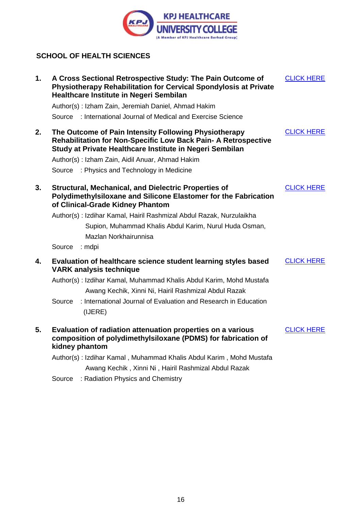

#### <span id="page-15-0"></span>**SCHOOL OF HEALTH SCIENCES**

| 1. | A Cross Sectional Retrospective Study: The Pain Outcome of<br><b>Physiotherapy Rehabilitation for Cervical Spondylosis at Private</b><br>Healthcare Institute in Negeri Sembilan           | <b>CLICK HERE</b> |
|----|--------------------------------------------------------------------------------------------------------------------------------------------------------------------------------------------|-------------------|
|    | Author(s): Izham Zain, Jeremiah Daniel, Ahmad Hakim                                                                                                                                        |                   |
|    | Source : International Journal of Medical and Exercise Science                                                                                                                             |                   |
| 2. | The Outcome of Pain Intensity Following Physiotherapy<br><b>Rehabilitation for Non-Specific Low Back Pain- A Retrospective</b><br>Study at Private Healthcare Institute in Negeri Sembilan | <b>CLICK HERE</b> |
|    | Author(s): Izham Zain, Aidil Anuar, Ahmad Hakim                                                                                                                                            |                   |
|    | Source : Physics and Technology in Medicine                                                                                                                                                |                   |
| 3. | <b>Structural, Mechanical, and Dielectric Properties of</b><br>Polydimethylsiloxane and Silicone Elastomer for the Fabrication<br>of Clinical-Grade Kidney Phantom                         | <b>CLICK HERE</b> |
|    | Author(s): Izdihar Kamal, Hairil Rashmizal Abdul Razak, Nurzulaikha                                                                                                                        |                   |
|    | Supion, Muhammad Khalis Abdul Karim, Nurul Huda Osman,                                                                                                                                     |                   |
|    | Mazlan Norkhairunnisa                                                                                                                                                                      |                   |
|    | Source<br>: mdpi                                                                                                                                                                           |                   |
| 4. | Evaluation of healthcare science student learning styles based<br><b>VARK analysis technique</b>                                                                                           | <b>CLICK HERE</b> |
|    | Author(s): Izdihar Kamal, Muhammad Khalis Abdul Karim, Mohd Mustafa<br>Awang Kechik, Xinni Ni, Hairil Rashmizal Abdul Razak                                                                |                   |
|    | : International Journal of Evaluation and Research in Education<br>Source<br>(IJERE)                                                                                                       |                   |
| 5. | Evaluation of radiation attenuation properties on a various<br>composition of polydimethylsiloxane (PDMS) for fabrication of<br>kidney phantom                                             | <b>CLICK HERE</b> |
|    | Author(s): Izdihar Kamal, Muhammad Khalis Abdul Karim, Mohd Mustafa                                                                                                                        |                   |
|    | Awang Kechik, Xinni Ni, Hairil Rashmizal Abdul Razak                                                                                                                                       |                   |

Source : Radiation Physics and Chemistry